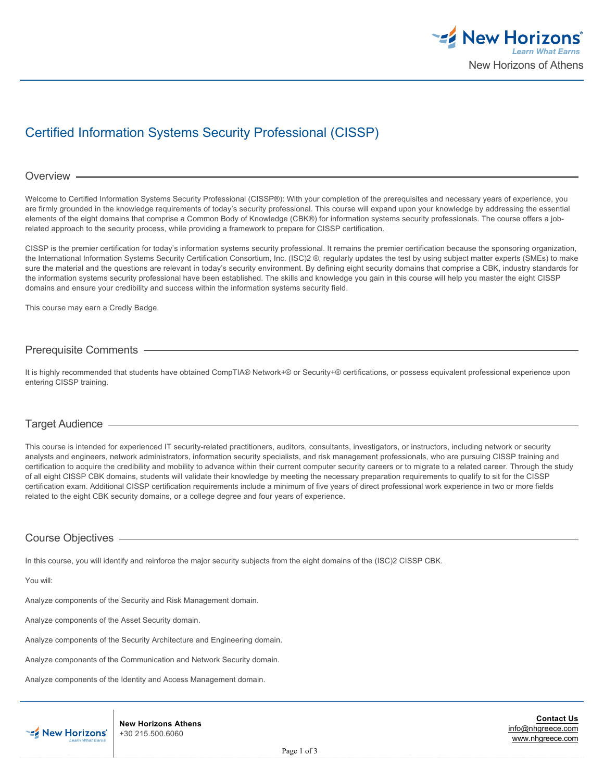

# Certified Information Systems Security Professional (CISSP)

#### Overview -

Welcome to Certified Information Systems Security Professional (CISSP®): With your completion of the prerequisites and necessary years of experience, you are firmly grounded in the knowledge requirements of today's security professional. This course will expand upon your knowledge by addressing the essential elements of the eight domains that comprise a Common Body of Knowledge (CBK®) for information systems security professionals. The course offers a jobrelated approach to the security process, while providing a framework to prepare for CISSP certification.

CISSP is the premier certification for today's information systems security professional. It remains the premier certification because the sponsoring organization, the International Information Systems Security Certification Consortium, Inc. (ISC)2 ®, regularly updates the test by using subject matter experts (SMEs) to make sure the material and the questions are relevant in today's security environment. By defining eight security domains that comprise a CBK, industry standards for the information systems security professional have been established. The skills and knowledge you gain in this course will help you master the eight CISSP domains and ensure your credibility and success within the information systems security field.

This course may earn a Credly Badge.

# Prerequisite Comments

It is highly recommended that students have obtained CompTIA® Network+® or Security+® certifications, or possess equivalent professional experience upon entering CISSP training.

## Target Audience

This course is intended for experienced IT security-related practitioners, auditors, consultants, investigators, or instructors, including network or security analysts and engineers, network administrators, information security specialists, and risk management professionals, who are pursuing CISSP training and certification to acquire the credibility and mobility to advance within their current computer security careers or to migrate to a related career. Through the study of all eight CISSP CBK domains, students will validate their knowledge by meeting the necessary preparation requirements to qualify to sit for the CISSP certification exam. Additional CISSP certification requirements include a minimum of five years of direct professional work experience in two or more fields related to the eight CBK security domains, or a college degree and four years of experience.

# Course Objectives

In this course, you will identify and reinforce the major security subjects from the eight domains of the (ISC)2 CISSP CBK.

You will:

Analyze components of the Security and Risk Management domain.

Analyze components of the Asset Security domain.

Analyze components of the Security Architecture and Engineering domain.

Analyze components of the Communication and Network Security domain.

Analyze components of the Identity and Access Management domain.



**New Horizons Athens** +30 215.500.6060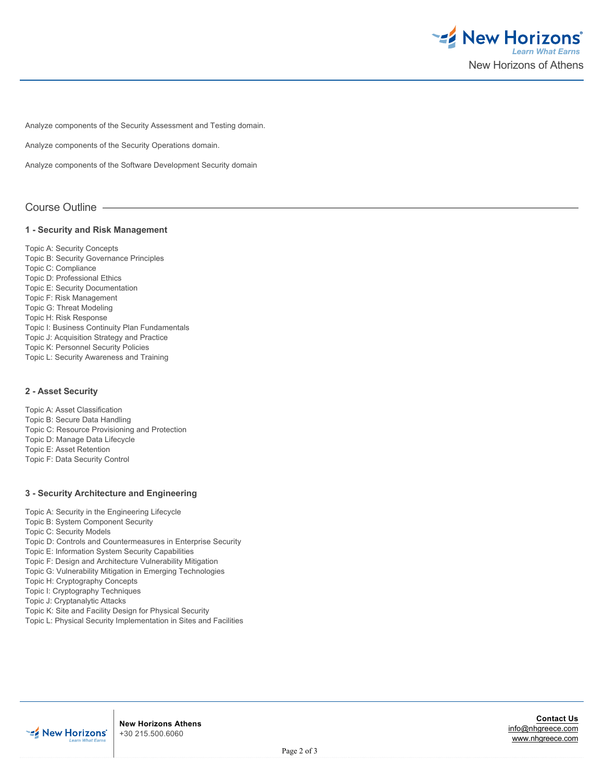

Analyze components of the Security Assessment and Testing domain.

Analyze components of the Security Operations domain.

Analyze components of the Software Development Security domain

# Course Outline

#### **1 - Security and Risk Management**

Topic A: Security Concepts Topic B: Security Governance Principles Topic C: Compliance Topic D: Professional Ethics Topic E: Security Documentation Topic F: Risk Management Topic G: Threat Modeling Topic H: Risk Response Topic I: Business Continuity Plan Fundamentals Topic J: Acquisition Strategy and Practice Topic K: Personnel Security Policies Topic L: Security Awareness and Training

## **2 - Asset Security**

Topic A: Asset Classification Topic B: Secure Data Handling Topic C: Resource Provisioning and Protection Topic D: Manage Data Lifecycle Topic E: Asset Retention Topic F: Data Security Control

# **3 - Security Architecture and Engineering**

Topic A: Security in the Engineering Lifecycle Topic B: System Component Security Topic C: Security Models Topic D: Controls and Countermeasures in Enterprise Security Topic E: Information System Security Capabilities Topic F: Design and Architecture Vulnerability Mitigation Topic G: Vulnerability Mitigation in Emerging Technologies Topic H: Cryptography Concepts Topic I: Cryptography Techniques Topic J: Cryptanalytic Attacks Topic K: Site and Facility Design for Physical Security Topic L: Physical Security Implementation in Sites and Facilities



**New Horizons Athens** +30 215.500.6060